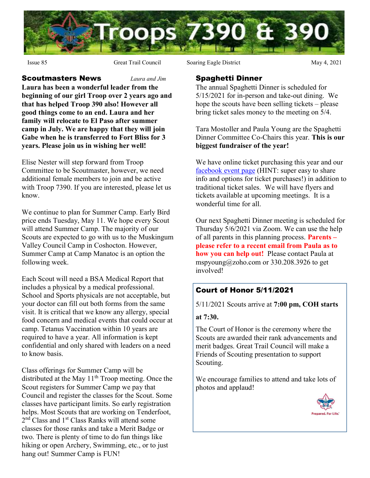

**Scoutmasters News** *Laura and Jim* Laura has been a wonderful leader from the beginning of our girl Troop over 2 years ago and that has helped Troop 390 also! However all good things come to an end. Laura and her family will relocate to El Paso after summer camp in July. We are happy that they will join Gabe when he is transferred to Fort Bliss for 3 years. Please join us in wishing her well!

Elise Nester will step forward from Troop Committee to be Scoutmaster, however, we need additional female members to join and be active with Troop 7390. If you are interested, please let us know.

We continue to plan for Summer Camp. Early Bird price ends Tuesday, May 11. We hope every Scout will attend Summer Camp. The majority of our Scouts are expected to go with us to the Muskingum Valley Council Camp in Coshocton. However, Summer Camp at Camp Manatoc is an option the following week.

Each Scout will need a BSA Medical Report that includes a physical by a medical professional. School and Sports physicals are not acceptable, but your doctor can fill out both forms from the same visit. It is critical that we know any allergy, special food concern and medical events that could occur at camp. Tetanus Vaccination within 10 years are required to have a year. All information is kept confidential and only shared with leaders on a need to know basis.

Class offerings for Summer Camp will be distributed at the May  $11<sup>th</sup>$  Troop meeting. Once the Scout registers for Summer Camp we pay that Council and register the classes for the Scout. Some classes have participant limits. So early registration helps. Most Scouts that are working on Tenderfoot, 2<sup>nd</sup> Class and 1<sup>st</sup> Class Ranks will attend some classes for those ranks and take a Merit Badge or two. There is plenty of time to do fun things like hiking or open Archery, Swimming, etc., or to just hang out! Summer Camp is FUN!

Issue 85 Great Trail Council Soaring Eagle District May 4, 2021

#### Spaghetti Dinner

The annual Spaghetti Dinner is scheduled for 5/15/2021 for in-person and take-out dining. We hope the scouts have been selling tickets – please bring ticket sales money to the meeting on 5/4.

Tara Mostoller and Paula Young are the Spaghetti Dinner Committee Co-Chairs this year. This is our biggest fundraiser of the year!

We have online ticket purchasing this year and our facebook event page (HINT: super easy to share info and options for ticket purchases!) in addition to traditional ticket sales. We will have flyers and tickets available at upcoming meetings. It is a wonderful time for all.

Our next Spaghetti Dinner meeting is scheduled for Thursday 5/6/2021 via Zoom. We can use the help of all parents in this planning process. **Parents** – please refer to a recent email from Paula as to how you can help out! Please contact Paula at mspyoung@zoho.com or 330.208.3926 to get involved!

# Court of Honor 5/11/2021

5/11/2021 Scouts arrive at 7:00 pm, COH starts

#### at 7:30.

The Court of Honor is the ceremony where the Scouts are awarded their rank advancements and merit badges. Great Trail Council will make a Friends of Scouting presentation to support Scouting.

We encourage families to attend and take lots of photos and applaud!